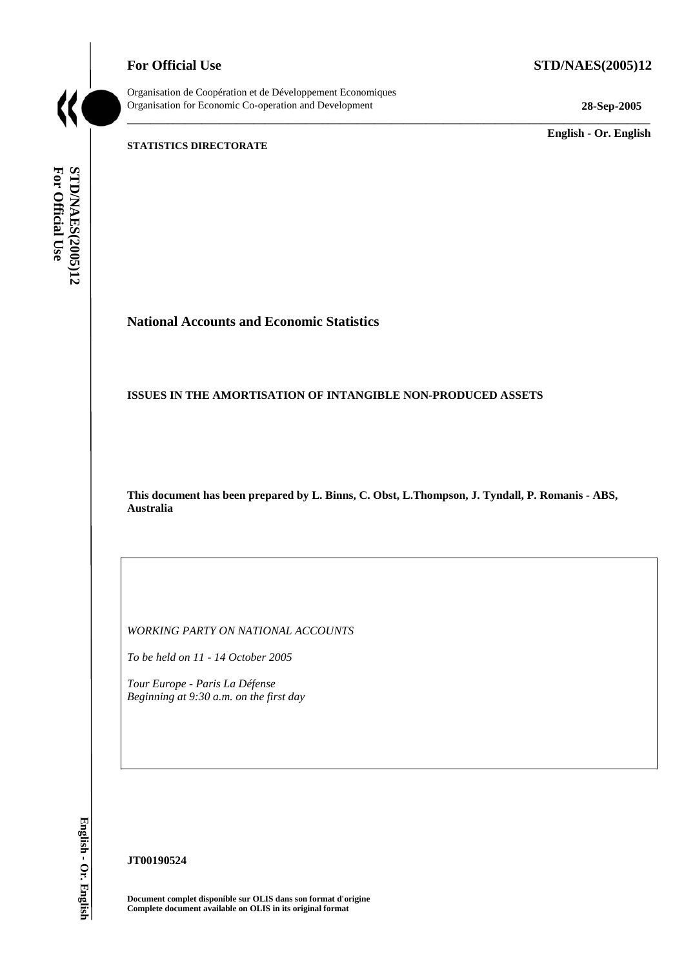**For Official Use STD/NAES(2005)12** 



Organisation de Coopération et de Développement Economiques Organisation for Economic Co-operation and Development **28-Sep-2005** 

\_\_\_\_\_\_\_\_\_\_\_\_\_ **English - Or. English** 

#### **STATISTICS DIRECTORATE**

For Official Use STD/NAES(2005)12 **For Official Use STD/NAES(2005)12 English - Or. English**

# **National Accounts and Economic Statistics**

#### **ISSUES IN THE AMORTISATION OF INTANGIBLE NON-PRODUCED ASSETS**

**This document has been prepared by L. Binns, C. Obst, L.Thompson, J. Tyndall, P. Romanis - ABS, Australia** 

\_\_\_\_\_\_\_\_\_\_\_\_\_\_\_\_\_\_\_\_\_\_\_\_\_\_\_\_\_\_\_\_\_\_\_\_\_\_\_\_\_\_\_\_\_\_\_\_\_\_\_\_\_\_\_\_\_\_\_\_\_\_\_\_\_\_\_\_\_\_\_\_\_\_\_\_\_\_\_\_\_\_\_\_\_\_\_\_\_\_\_

*WORKING PARTY ON NATIONAL ACCOUNTS* 

*To be held on 11 - 14 October 2005* 

*Tour Europe - Paris La Défense Beginning at 9:30 a.m. on the first day* 

English - Or. English

#### **JT00190524**

**Document complet disponible sur OLIS dans son format d'origine Complete document available on OLIS in its original format**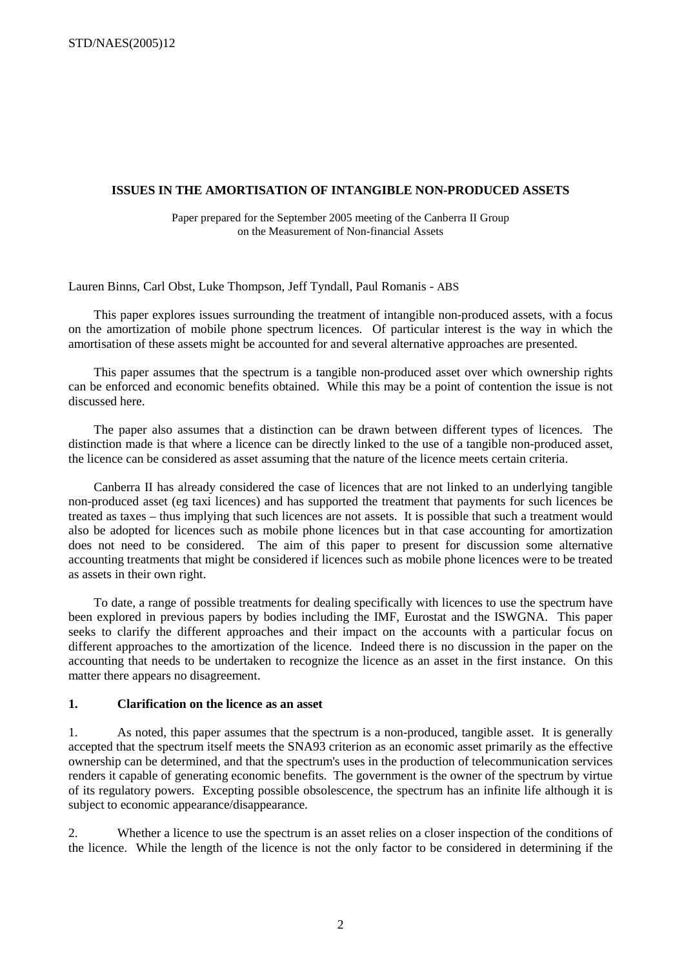#### **ISSUES IN THE AMORTISATION OF INTANGIBLE NON-PRODUCED ASSETS**

Paper prepared for the September 2005 meeting of the Canberra II Group on the Measurement of Non-financial Assets

Lauren Binns, Carl Obst, Luke Thompson, Jeff Tyndall, Paul Romanis - ABS

This paper explores issues surrounding the treatment of intangible non-produced assets, with a focus on the amortization of mobile phone spectrum licences. Of particular interest is the way in which the amortisation of these assets might be accounted for and several alternative approaches are presented.

This paper assumes that the spectrum is a tangible non-produced asset over which ownership rights can be enforced and economic benefits obtained. While this may be a point of contention the issue is not discussed here.

The paper also assumes that a distinction can be drawn between different types of licences. The distinction made is that where a licence can be directly linked to the use of a tangible non-produced asset, the licence can be considered as asset assuming that the nature of the licence meets certain criteria.

Canberra II has already considered the case of licences that are not linked to an underlying tangible non-produced asset (eg taxi licences) and has supported the treatment that payments for such licences be treated as taxes – thus implying that such licences are not assets. It is possible that such a treatment would also be adopted for licences such as mobile phone licences but in that case accounting for amortization does not need to be considered. The aim of this paper to present for discussion some alternative accounting treatments that might be considered if licences such as mobile phone licences were to be treated as assets in their own right.

To date, a range of possible treatments for dealing specifically with licences to use the spectrum have been explored in previous papers by bodies including the IMF, Eurostat and the ISWGNA. This paper seeks to clarify the different approaches and their impact on the accounts with a particular focus on different approaches to the amortization of the licence. Indeed there is no discussion in the paper on the accounting that needs to be undertaken to recognize the licence as an asset in the first instance. On this matter there appears no disagreement.

#### **1. Clarification on the licence as an asset**

1. As noted, this paper assumes that the spectrum is a non-produced, tangible asset. It is generally accepted that the spectrum itself meets the SNA93 criterion as an economic asset primarily as the effective ownership can be determined, and that the spectrum's uses in the production of telecommunication services renders it capable of generating economic benefits. The government is the owner of the spectrum by virtue of its regulatory powers. Excepting possible obsolescence, the spectrum has an infinite life although it is subject to economic appearance/disappearance.

2. Whether a licence to use the spectrum is an asset relies on a closer inspection of the conditions of the licence. While the length of the licence is not the only factor to be considered in determining if the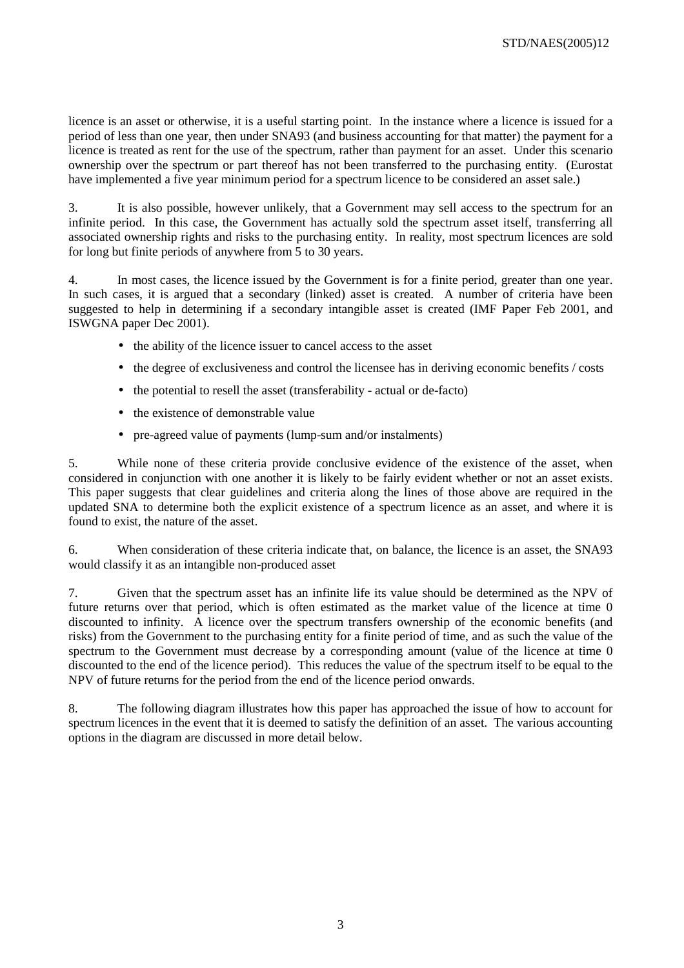licence is an asset or otherwise, it is a useful starting point. In the instance where a licence is issued for a period of less than one year, then under SNA93 (and business accounting for that matter) the payment for a licence is treated as rent for the use of the spectrum, rather than payment for an asset. Under this scenario ownership over the spectrum or part thereof has not been transferred to the purchasing entity. (Eurostat have implemented a five year minimum period for a spectrum licence to be considered an asset sale.)

3. It is also possible, however unlikely, that a Government may sell access to the spectrum for an infinite period. In this case, the Government has actually sold the spectrum asset itself, transferring all associated ownership rights and risks to the purchasing entity. In reality, most spectrum licences are sold for long but finite periods of anywhere from 5 to 30 years.

4. In most cases, the licence issued by the Government is for a finite period, greater than one year. In such cases, it is argued that a secondary (linked) asset is created. A number of criteria have been suggested to help in determining if a secondary intangible asset is created (IMF Paper Feb 2001, and ISWGNA paper Dec 2001).

- the ability of the licence issuer to cancel access to the asset
- the degree of exclusiveness and control the licensee has in deriving economic benefits / costs
- the potential to resell the asset (transferability actual or de-facto)
- the existence of demonstrable value
- pre-agreed value of payments (lump-sum and/or instalments)

5. While none of these criteria provide conclusive evidence of the existence of the asset, when considered in conjunction with one another it is likely to be fairly evident whether or not an asset exists. This paper suggests that clear guidelines and criteria along the lines of those above are required in the updated SNA to determine both the explicit existence of a spectrum licence as an asset, and where it is found to exist, the nature of the asset.

6. When consideration of these criteria indicate that, on balance, the licence is an asset, the SNA93 would classify it as an intangible non-produced asset

7. Given that the spectrum asset has an infinite life its value should be determined as the NPV of future returns over that period, which is often estimated as the market value of the licence at time 0 discounted to infinity. A licence over the spectrum transfers ownership of the economic benefits (and risks) from the Government to the purchasing entity for a finite period of time, and as such the value of the spectrum to the Government must decrease by a corresponding amount (value of the licence at time 0 discounted to the end of the licence period). This reduces the value of the spectrum itself to be equal to the NPV of future returns for the period from the end of the licence period onwards.

8. The following diagram illustrates how this paper has approached the issue of how to account for spectrum licences in the event that it is deemed to satisfy the definition of an asset. The various accounting options in the diagram are discussed in more detail below.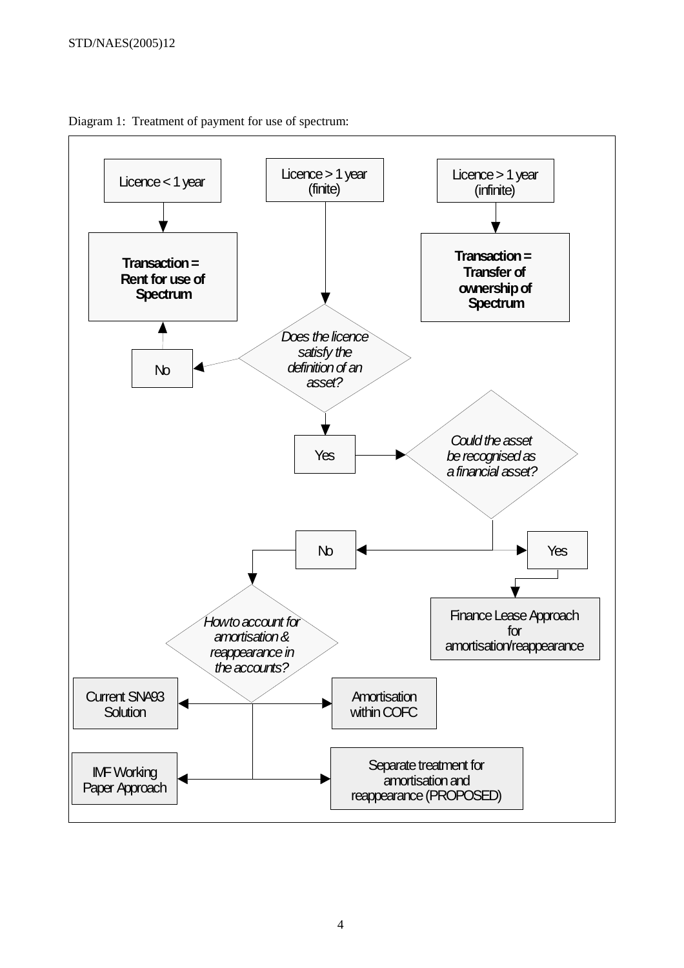

Diagram 1: Treatment of payment for use of spectrum: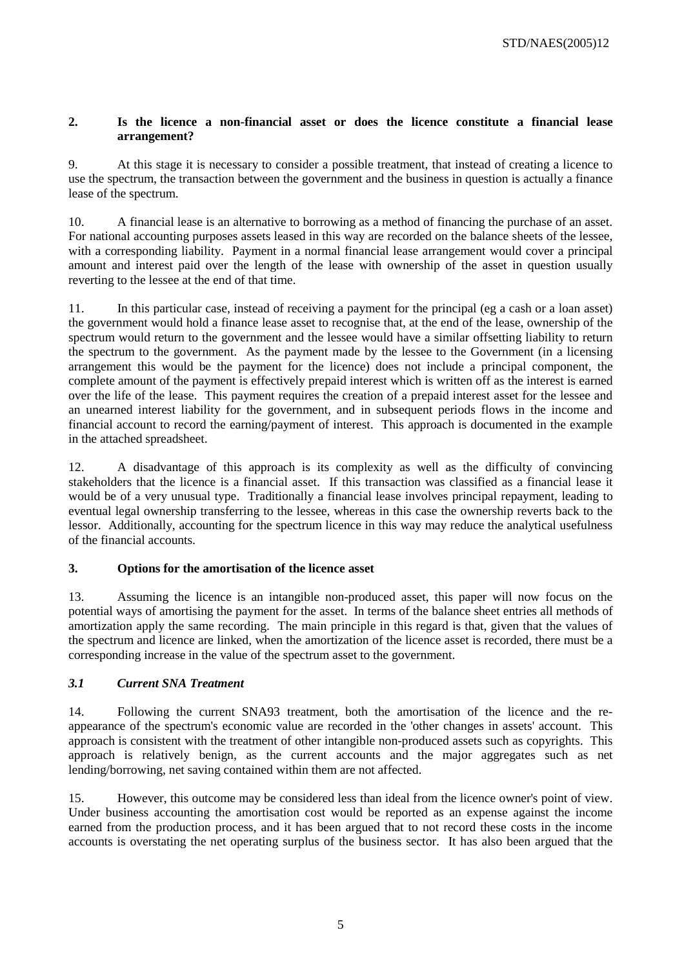### **2. Is the licence a non-financial asset or does the licence constitute a financial lease arrangement?**

9. At this stage it is necessary to consider a possible treatment, that instead of creating a licence to use the spectrum, the transaction between the government and the business in question is actually a finance lease of the spectrum.

10. A financial lease is an alternative to borrowing as a method of financing the purchase of an asset. For national accounting purposes assets leased in this way are recorded on the balance sheets of the lessee, with a corresponding liability. Payment in a normal financial lease arrangement would cover a principal amount and interest paid over the length of the lease with ownership of the asset in question usually reverting to the lessee at the end of that time.

11. In this particular case, instead of receiving a payment for the principal (eg a cash or a loan asset) the government would hold a finance lease asset to recognise that, at the end of the lease, ownership of the spectrum would return to the government and the lessee would have a similar offsetting liability to return the spectrum to the government. As the payment made by the lessee to the Government (in a licensing arrangement this would be the payment for the licence) does not include a principal component, the complete amount of the payment is effectively prepaid interest which is written off as the interest is earned over the life of the lease. This payment requires the creation of a prepaid interest asset for the lessee and an unearned interest liability for the government, and in subsequent periods flows in the income and financial account to record the earning/payment of interest. This approach is documented in the example in the attached spreadsheet.

12. A disadvantage of this approach is its complexity as well as the difficulty of convincing stakeholders that the licence is a financial asset. If this transaction was classified as a financial lease it would be of a very unusual type. Traditionally a financial lease involves principal repayment, leading to eventual legal ownership transferring to the lessee, whereas in this case the ownership reverts back to the lessor. Additionally, accounting for the spectrum licence in this way may reduce the analytical usefulness of the financial accounts.

# **3. Options for the amortisation of the licence asset**

13. Assuming the licence is an intangible non-produced asset, this paper will now focus on the potential ways of amortising the payment for the asset. In terms of the balance sheet entries all methods of amortization apply the same recording. The main principle in this regard is that, given that the values of the spectrum and licence are linked, when the amortization of the licence asset is recorded, there must be a corresponding increase in the value of the spectrum asset to the government.

# *3.1 Current SNA Treatment*

14. Following the current SNA93 treatment, both the amortisation of the licence and the reappearance of the spectrum's economic value are recorded in the 'other changes in assets' account. This approach is consistent with the treatment of other intangible non-produced assets such as copyrights. This approach is relatively benign, as the current accounts and the major aggregates such as net lending/borrowing, net saving contained within them are not affected.

15. However, this outcome may be considered less than ideal from the licence owner's point of view. Under business accounting the amortisation cost would be reported as an expense against the income earned from the production process, and it has been argued that to not record these costs in the income accounts is overstating the net operating surplus of the business sector. It has also been argued that the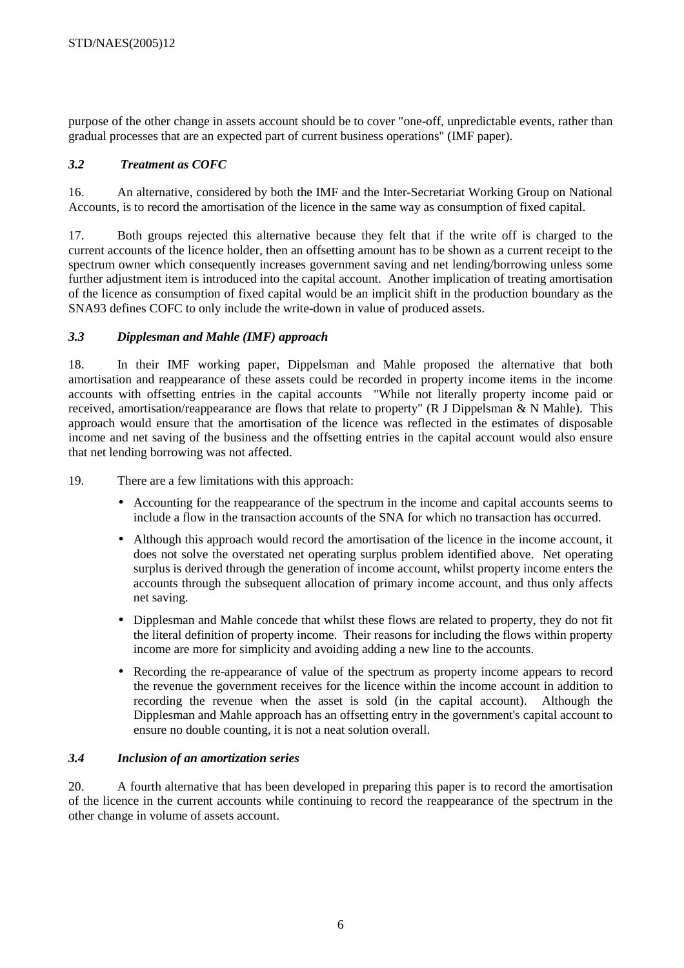purpose of the other change in assets account should be to cover "one-off, unpredictable events, rather than gradual processes that are an expected part of current business operations" (IMF paper).

# *3.2 Treatment as COFC*

16. An alternative, considered by both the IMF and the Inter-Secretariat Working Group on National Accounts, is to record the amortisation of the licence in the same way as consumption of fixed capital.

17. Both groups rejected this alternative because they felt that if the write off is charged to the current accounts of the licence holder, then an offsetting amount has to be shown as a current receipt to the spectrum owner which consequently increases government saving and net lending/borrowing unless some further adjustment item is introduced into the capital account. Another implication of treating amortisation of the licence as consumption of fixed capital would be an implicit shift in the production boundary as the SNA93 defines COFC to only include the write-down in value of produced assets.

# *3.3 Dipplesman and Mahle (IMF) approach*

18. In their IMF working paper, Dippelsman and Mahle proposed the alternative that both amortisation and reappearance of these assets could be recorded in property income items in the income accounts with offsetting entries in the capital accounts "While not literally property income paid or received, amortisation/reappearance are flows that relate to property" (R J Dippelsman & N Mahle). This approach would ensure that the amortisation of the licence was reflected in the estimates of disposable income and net saving of the business and the offsetting entries in the capital account would also ensure that net lending borrowing was not affected.

19. There are a few limitations with this approach:

- Accounting for the reappearance of the spectrum in the income and capital accounts seems to include a flow in the transaction accounts of the SNA for which no transaction has occurred.
- Although this approach would record the amortisation of the licence in the income account, it does not solve the overstated net operating surplus problem identified above. Net operating surplus is derived through the generation of income account, whilst property income enters the accounts through the subsequent allocation of primary income account, and thus only affects net saving.
- Dipplesman and Mahle concede that whilst these flows are related to property, they do not fit the literal definition of property income. Their reasons for including the flows within property income are more for simplicity and avoiding adding a new line to the accounts.
- Recording the re-appearance of value of the spectrum as property income appears to record the revenue the government receives for the licence within the income account in addition to recording the revenue when the asset is sold (in the capital account). Although the Dipplesman and Mahle approach has an offsetting entry in the government's capital account to ensure no double counting, it is not a neat solution overall.

#### *3.4 Inclusion of an amortization series*

20. A fourth alternative that has been developed in preparing this paper is to record the amortisation of the licence in the current accounts while continuing to record the reappearance of the spectrum in the other change in volume of assets account.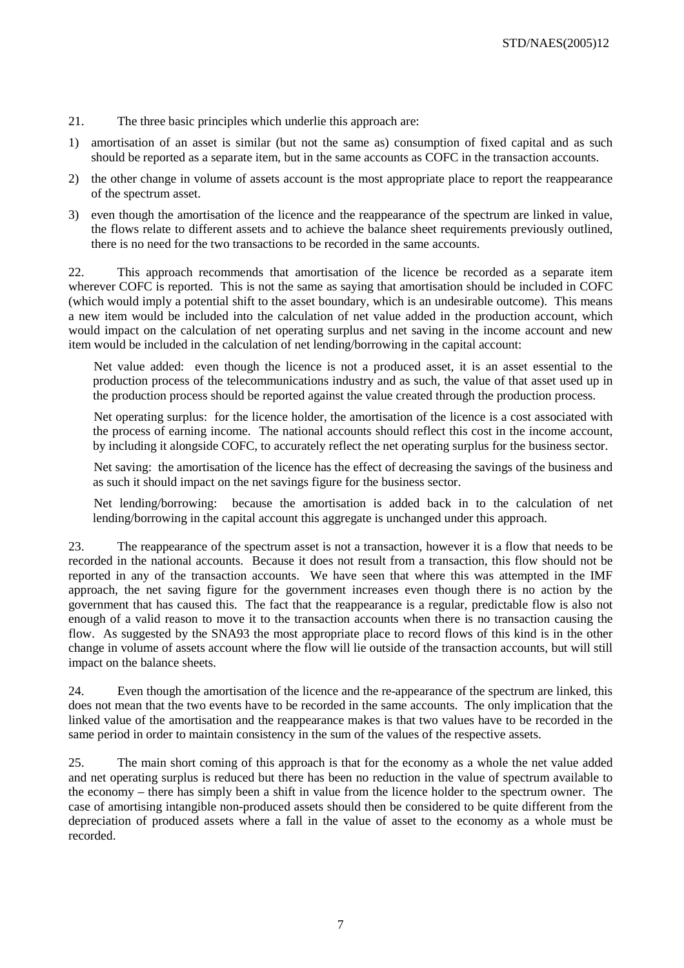- 21. The three basic principles which underlie this approach are:
- 1) amortisation of an asset is similar (but not the same as) consumption of fixed capital and as such should be reported as a separate item, but in the same accounts as COFC in the transaction accounts.
- 2) the other change in volume of assets account is the most appropriate place to report the reappearance of the spectrum asset.
- 3) even though the amortisation of the licence and the reappearance of the spectrum are linked in value, the flows relate to different assets and to achieve the balance sheet requirements previously outlined, there is no need for the two transactions to be recorded in the same accounts.

22. This approach recommends that amortisation of the licence be recorded as a separate item wherever COFC is reported. This is not the same as saying that amortisation should be included in COFC (which would imply a potential shift to the asset boundary, which is an undesirable outcome). This means a new item would be included into the calculation of net value added in the production account, which would impact on the calculation of net operating surplus and net saving in the income account and new item would be included in the calculation of net lending/borrowing in the capital account:

Net value added: even though the licence is not a produced asset, it is an asset essential to the production process of the telecommunications industry and as such, the value of that asset used up in the production process should be reported against the value created through the production process.

Net operating surplus: for the licence holder, the amortisation of the licence is a cost associated with the process of earning income. The national accounts should reflect this cost in the income account, by including it alongside COFC, to accurately reflect the net operating surplus for the business sector.

Net saving: the amortisation of the licence has the effect of decreasing the savings of the business and as such it should impact on the net savings figure for the business sector.

Net lending/borrowing: because the amortisation is added back in to the calculation of net lending/borrowing in the capital account this aggregate is unchanged under this approach.

23. The reappearance of the spectrum asset is not a transaction, however it is a flow that needs to be recorded in the national accounts. Because it does not result from a transaction, this flow should not be reported in any of the transaction accounts. We have seen that where this was attempted in the IMF approach, the net saving figure for the government increases even though there is no action by the government that has caused this. The fact that the reappearance is a regular, predictable flow is also not enough of a valid reason to move it to the transaction accounts when there is no transaction causing the flow. As suggested by the SNA93 the most appropriate place to record flows of this kind is in the other change in volume of assets account where the flow will lie outside of the transaction accounts, but will still impact on the balance sheets.

24. Even though the amortisation of the licence and the re-appearance of the spectrum are linked, this does not mean that the two events have to be recorded in the same accounts. The only implication that the linked value of the amortisation and the reappearance makes is that two values have to be recorded in the same period in order to maintain consistency in the sum of the values of the respective assets.

25. The main short coming of this approach is that for the economy as a whole the net value added and net operating surplus is reduced but there has been no reduction in the value of spectrum available to the economy – there has simply been a shift in value from the licence holder to the spectrum owner. The case of amortising intangible non-produced assets should then be considered to be quite different from the depreciation of produced assets where a fall in the value of asset to the economy as a whole must be recorded.